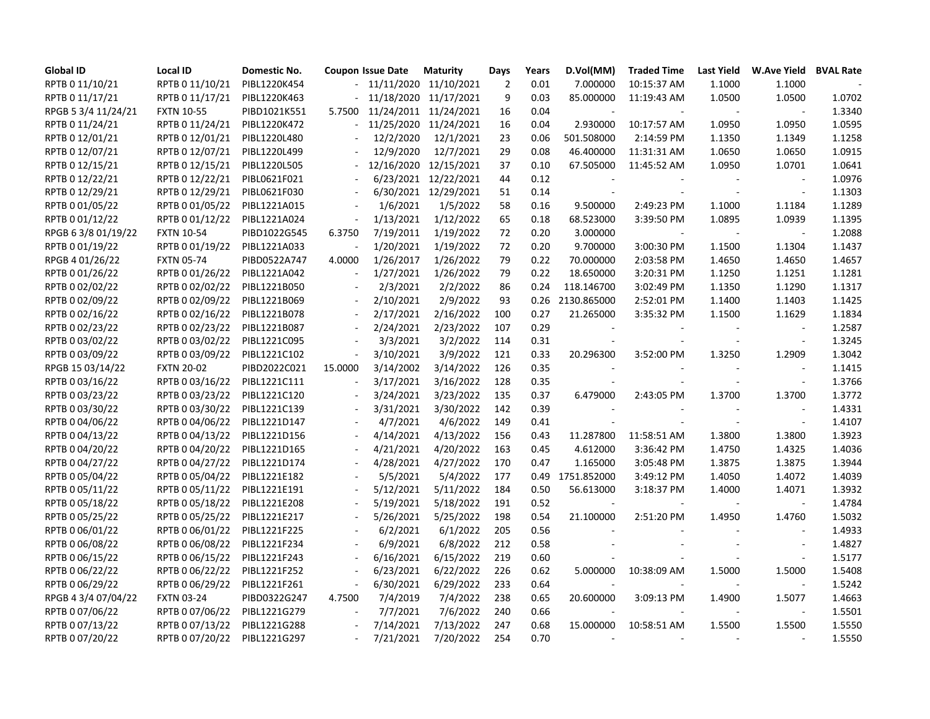| <b>Global ID</b>    | <b>Local ID</b>   | Domestic No. |                          | <b>Coupon Issue Date</b> | <b>Maturity</b>            | Days           | Years | D.Vol(MM)                | <b>Traded Time</b> | Last Yield     | <b>W.Ave Yield</b>          | <b>BVAL Rate</b> |
|---------------------|-------------------|--------------|--------------------------|--------------------------|----------------------------|----------------|-------|--------------------------|--------------------|----------------|-----------------------------|------------------|
| RPTB 0 11/10/21     | RPTB 0 11/10/21   | PIBL1220K454 |                          |                          | $-11/11/2020$ $11/10/2021$ | $\overline{2}$ | 0.01  | 7.000000                 | 10:15:37 AM        | 1.1000         | 1.1000                      |                  |
| RPTB 0 11/17/21     | RPTB 0 11/17/21   | PIBL1220K463 |                          |                          | 11/18/2020 11/17/2021      | 9              | 0.03  | 85.000000                | 11:19:43 AM        | 1.0500         | 1.0500                      | 1.0702           |
| RPGB 5 3/4 11/24/21 | <b>FXTN 10-55</b> | PIBD1021K551 | 5.7500                   |                          | 11/24/2011 11/24/2021      | 16             | 0.04  |                          |                    |                | $\sim$                      | 1.3340           |
| RPTB 0 11/24/21     | RPTB 0 11/24/21   | PIBL1220K472 |                          |                          | 11/25/2020 11/24/2021      | 16             | 0.04  | 2.930000                 | 10:17:57 AM        | 1.0950         | 1.0950                      | 1.0595           |
| RPTB 0 12/01/21     | RPTB 0 12/01/21   | PIBL1220L480 |                          | 12/2/2020                | 12/1/2021                  | 23             | 0.06  | 501.508000               | 2:14:59 PM         | 1.1350         | 1.1349                      | 1.1258           |
| RPTB 0 12/07/21     | RPTB 0 12/07/21   | PIBL1220L499 |                          | 12/9/2020                | 12/7/2021                  | 29             | 0.08  | 46.400000                | 11:31:31 AM        | 1.0650         | 1.0650                      | 1.0915           |
| RPTB 0 12/15/21     | RPTB 0 12/15/21   | PIBL1220L505 | $\blacksquare$           |                          | 12/16/2020 12/15/2021      | 37             | 0.10  | 67.505000                | 11:45:52 AM        | 1.0950         | 1.0701                      | 1.0641           |
| RPTB 0 12/22/21     | RPTB 0 12/22/21   | PIBL0621F021 |                          |                          | 6/23/2021 12/22/2021       | 44             | 0.12  | $\blacksquare$           |                    | $\blacksquare$ | $\mathcal{L}_{\mathcal{A}}$ | 1.0976           |
| RPTB 0 12/29/21     | RPTB 0 12/29/21   | PIBL0621F030 |                          |                          | 6/30/2021 12/29/2021       | 51             | 0.14  |                          | $\sim$             | $\blacksquare$ | $\overline{\phantom{a}}$    | 1.1303           |
| RPTB 0 01/05/22     | RPTB 0 01/05/22   | PIBL1221A015 |                          | 1/6/2021                 | 1/5/2022                   | 58             | 0.16  | 9.500000                 | 2:49:23 PM         | 1.1000         | 1.1184                      | 1.1289           |
| RPTB 0 01/12/22     | RPTB 0 01/12/22   | PIBL1221A024 |                          | 1/13/2021                | 1/12/2022                  | 65             | 0.18  | 68.523000                | 3:39:50 PM         | 1.0895         | 1.0939                      | 1.1395           |
| RPGB 6 3/8 01/19/22 | <b>FXTN 10-54</b> | PIBD1022G545 | 6.3750                   | 7/19/2011                | 1/19/2022                  | 72             | 0.20  | 3.000000                 | $\sim$             | $\sim$         | $\blacksquare$              | 1.2088           |
| RPTB 0 01/19/22     | RPTB 0 01/19/22   | PIBL1221A033 |                          | 1/20/2021                | 1/19/2022                  | 72             | 0.20  | 9.700000                 | 3:00:30 PM         | 1.1500         | 1.1304                      | 1.1437           |
| RPGB 4 01/26/22     | <b>FXTN 05-74</b> | PIBD0522A747 | 4.0000                   | 1/26/2017                | 1/26/2022                  | 79             | 0.22  | 70.000000                | 2:03:58 PM         | 1.4650         | 1.4650                      | 1.4657           |
| RPTB 0 01/26/22     | RPTB 0 01/26/22   | PIBL1221A042 | $\overline{a}$           | 1/27/2021                | 1/26/2022                  | 79             | 0.22  | 18.650000                | 3:20:31 PM         | 1.1250         | 1.1251                      | 1.1281           |
| RPTB 0 02/02/22     | RPTB 0 02/02/22   | PIBL1221B050 | $\overline{\phantom{a}}$ | 2/3/2021                 | 2/2/2022                   | 86             | 0.24  | 118.146700               | 3:02:49 PM         | 1.1350         | 1.1290                      | 1.1317           |
| RPTB 0 02/09/22     | RPTB 0 02/09/22   | PIBL1221B069 | $\sim$                   | 2/10/2021                | 2/9/2022                   | 93             | 0.26  | 2130.865000              | 2:52:01 PM         | 1.1400         | 1.1403                      | 1.1425           |
| RPTB 0 02/16/22     | RPTB 0 02/16/22   | PIBL1221B078 |                          | 2/17/2021                | 2/16/2022                  | 100            | 0.27  | 21.265000                | 3:35:32 PM         | 1.1500         | 1.1629                      | 1.1834           |
| RPTB 0 02/23/22     | RPTB 0 02/23/22   | PIBL1221B087 |                          | 2/24/2021                | 2/23/2022                  | 107            | 0.29  |                          |                    | $\sim$         | $\mathcal{L}_{\mathcal{A}}$ | 1.2587           |
| RPTB 0 03/02/22     | RPTB 0 03/02/22   | PIBL1221C095 | $\overline{a}$           | 3/3/2021                 | 3/2/2022                   | 114            | 0.31  | $\overline{\phantom{a}}$ | $\sim$             | $\blacksquare$ | $\blacksquare$              | 1.3245           |
| RPTB 0 03/09/22     | RPTB 0 03/09/22   | PIBL1221C102 |                          | 3/10/2021                | 3/9/2022                   | 121            | 0.33  | 20.296300                | 3:52:00 PM         | 1.3250         | 1.2909                      | 1.3042           |
| RPGB 15 03/14/22    | <b>FXTN 20-02</b> | PIBD2022C021 | 15.0000                  | 3/14/2002                | 3/14/2022                  | 126            | 0.35  |                          |                    |                | $\sim$                      | 1.1415           |
| RPTB 0 03/16/22     | RPTB 0 03/16/22   | PIBL1221C111 |                          | 3/17/2021                | 3/16/2022                  | 128            | 0.35  |                          |                    |                | $\omega$                    | 1.3766           |
| RPTB 0 03/23/22     | RPTB 0 03/23/22   | PIBL1221C120 |                          | 3/24/2021                | 3/23/2022                  | 135            | 0.37  | 6.479000                 | 2:43:05 PM         | 1.3700         | 1.3700                      | 1.3772           |
| RPTB 0 03/30/22     | RPTB 0 03/30/22   | PIBL1221C139 |                          | 3/31/2021                | 3/30/2022                  | 142            | 0.39  | $\sim$                   |                    |                | $\sim$                      | 1.4331           |
| RPTB 0 04/06/22     | RPTB 0 04/06/22   | PIBL1221D147 |                          | 4/7/2021                 | 4/6/2022                   | 149            | 0.41  |                          | $\sim$             | $\sim$         | $\blacksquare$              | 1.4107           |
| RPTB 0 04/13/22     | RPTB 0 04/13/22   | PIBL1221D156 |                          | 4/14/2021                | 4/13/2022                  | 156            | 0.43  | 11.287800                | 11:58:51 AM        | 1.3800         | 1.3800                      | 1.3923           |
| RPTB 0 04/20/22     | RPTB 0 04/20/22   | PIBL1221D165 | $\overline{\phantom{a}}$ | 4/21/2021                | 4/20/2022                  | 163            | 0.45  | 4.612000                 | 3:36:42 PM         | 1.4750         | 1.4325                      | 1.4036           |
| RPTB 0 04/27/22     | RPTB 0 04/27/22   | PIBL1221D174 |                          | 4/28/2021                | 4/27/2022                  | 170            | 0.47  | 1.165000                 | 3:05:48 PM         | 1.3875         | 1.3875                      | 1.3944           |
| RPTB 0 05/04/22     | RPTB 0 05/04/22   | PIBL1221E182 |                          | 5/5/2021                 | 5/4/2022                   | 177            |       | 0.49 1751.852000         | 3:49:12 PM         | 1.4050         | 1.4072                      | 1.4039           |
| RPTB 0 05/11/22     | RPTB 0 05/11/22   | PIBL1221E191 |                          | 5/12/2021                | 5/11/2022                  | 184            | 0.50  | 56.613000                | 3:18:37 PM         | 1.4000         | 1.4071                      | 1.3932           |
| RPTB 0 05/18/22     | RPTB 0 05/18/22   | PIBL1221E208 | $\sim$                   | 5/19/2021                | 5/18/2022                  | 191            | 0.52  |                          |                    |                | $\mathcal{L}_{\mathcal{A}}$ | 1.4784           |
| RPTB 0 05/25/22     | RPTB 0 05/25/22   | PIBL1221E217 |                          | 5/26/2021                | 5/25/2022                  | 198            | 0.54  | 21.100000                | 2:51:20 PM         | 1.4950         | 1.4760                      | 1.5032           |
| RPTB 0 06/01/22     | RPTB 0 06/01/22   | PIBL1221F225 |                          | 6/2/2021                 | 6/1/2022                   | 205            | 0.56  |                          |                    |                | $\overline{\phantom{a}}$    | 1.4933           |
| RPTB 0 06/08/22     | RPTB 0 06/08/22   | PIBL1221F234 |                          | 6/9/2021                 | 6/8/2022                   | 212            | 0.58  |                          |                    |                | $\overline{\phantom{a}}$    | 1.4827           |
| RPTB 0 06/15/22     | RPTB 0 06/15/22   | PIBL1221F243 | $\overline{\phantom{a}}$ | 6/16/2021                | 6/15/2022                  | 219            | 0.60  |                          |                    |                | ÷,                          | 1.5177           |
| RPTB 0 06/22/22     | RPTB 0 06/22/22   | PIBL1221F252 |                          | 6/23/2021                | 6/22/2022                  | 226            | 0.62  | 5.000000                 | 10:38:09 AM        | 1.5000         | 1.5000                      | 1.5408           |
| RPTB 0 06/29/22     | RPTB 0 06/29/22   | PIBL1221F261 | $\overline{\phantom{a}}$ | 6/30/2021                | 6/29/2022                  | 233            | 0.64  |                          |                    |                | $\blacksquare$              | 1.5242           |
| RPGB 4 3/4 07/04/22 | <b>FXTN 03-24</b> | PIBD0322G247 | 4.7500                   | 7/4/2019                 | 7/4/2022                   | 238            | 0.65  | 20.600000                | 3:09:13 PM         | 1.4900         | 1.5077                      | 1.4663           |
| RPTB 0 07/06/22     | RPTB 0 07/06/22   | PIBL1221G279 |                          | 7/7/2021                 | 7/6/2022                   | 240            | 0.66  |                          |                    |                | $\overline{a}$              | 1.5501           |
| RPTB 0 07/13/22     | RPTB 0 07/13/22   | PIBL1221G288 |                          | 7/14/2021                | 7/13/2022                  | 247            | 0.68  | 15.000000                | 10:58:51 AM        | 1.5500         | 1.5500                      | 1.5550           |
| RPTB 0 07/20/22     | RPTB 0 07/20/22   | PIBL1221G297 |                          | 7/21/2021                | 7/20/2022                  | 254            | 0.70  | $\sim$                   |                    |                |                             | 1.5550           |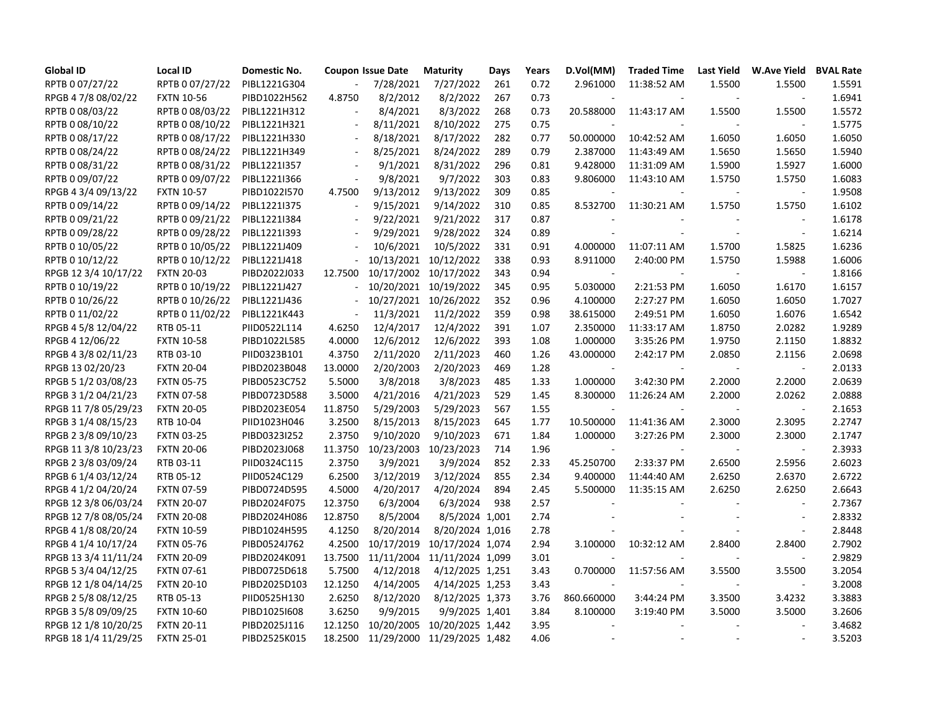| <b>Global ID</b>     | <b>Local ID</b>   | Domestic No. |                          | <b>Coupon Issue Date</b> | <b>Maturity</b>             | Days | Years | D.Vol(MM)  | <b>Traded Time</b> | Last Yield     | W.Ave Yield BVAL Rate    |        |
|----------------------|-------------------|--------------|--------------------------|--------------------------|-----------------------------|------|-------|------------|--------------------|----------------|--------------------------|--------|
| RPTB 0 07/27/22      | RPTB 0 07/27/22   | PIBL1221G304 |                          | 7/28/2021                | 7/27/2022                   | 261  | 0.72  | 2.961000   | 11:38:52 AM        | 1.5500         | 1.5500                   | 1.5591 |
| RPGB 4 7/8 08/02/22  | <b>FXTN 10-56</b> | PIBD1022H562 | 4.8750                   | 8/2/2012                 | 8/2/2022                    | 267  | 0.73  |            |                    |                |                          | 1.6941 |
| RPTB 0 08/03/22      | RPTB 0 08/03/22   | PIBL1221H312 |                          | 8/4/2021                 | 8/3/2022                    | 268  | 0.73  | 20.588000  | 11:43:17 AM        | 1.5500         | 1.5500                   | 1.5572 |
| RPTB 0 08/10/22      | RPTB 0 08/10/22   | PIBL1221H321 |                          | 8/11/2021                | 8/10/2022                   | 275  | 0.75  |            |                    |                | $\sim$                   | 1.5775 |
| RPTB 0 08/17/22      | RPTB 0 08/17/22   | PIBL1221H330 | $\sim$                   | 8/18/2021                | 8/17/2022                   | 282  | 0.77  | 50.000000  | 10:42:52 AM        | 1.6050         | 1.6050                   | 1.6050 |
| RPTB 0 08/24/22      | RPTB 0 08/24/22   | PIBL1221H349 | $\sim$                   | 8/25/2021                | 8/24/2022                   | 289  | 0.79  | 2.387000   | 11:43:49 AM        | 1.5650         | 1.5650                   | 1.5940 |
| RPTB 0 08/31/22      | RPTB 0 08/31/22   | PIBL1221I357 | $\sim$                   | 9/1/2021                 | 8/31/2022                   | 296  | 0.81  | 9.428000   | 11:31:09 AM        | 1.5900         | 1.5927                   | 1.6000 |
| RPTB 0 09/07/22      | RPTB 0 09/07/22   | PIBL1221I366 |                          | 9/8/2021                 | 9/7/2022                    | 303  | 0.83  | 9.806000   | 11:43:10 AM        | 1.5750         | 1.5750                   | 1.6083 |
| RPGB 4 3/4 09/13/22  | <b>FXTN 10-57</b> | PIBD1022I570 | 4.7500                   | 9/13/2012                | 9/13/2022                   | 309  | 0.85  |            | $\sim$             | $\blacksquare$ | $\blacksquare$           | 1.9508 |
| RPTB 0 09/14/22      | RPTB 0 09/14/22   | PIBL1221I375 |                          | 9/15/2021                | 9/14/2022                   | 310  | 0.85  | 8.532700   | 11:30:21 AM        | 1.5750         | 1.5750                   | 1.6102 |
| RPTB 0 09/21/22      | RPTB 0 09/21/22   | PIBL1221I384 | $\sim$                   | 9/22/2021                | 9/21/2022                   | 317  | 0.87  |            |                    |                | $\overline{\phantom{a}}$ | 1.6178 |
| RPTB 0 09/28/22      | RPTB 0 09/28/22   | PIBL1221I393 |                          | 9/29/2021                | 9/28/2022                   | 324  | 0.89  |            |                    | $\blacksquare$ | $\blacksquare$           | 1.6214 |
| RPTB 0 10/05/22      | RPTB 0 10/05/22   | PIBL1221J409 |                          | 10/6/2021                | 10/5/2022                   | 331  | 0.91  | 4.000000   | 11:07:11 AM        | 1.5700         | 1.5825                   | 1.6236 |
| RPTB 0 10/12/22      | RPTB 0 10/12/22   | PIBL1221J418 | $\overline{\phantom{a}}$ |                          | 10/13/2021 10/12/2022       | 338  | 0.93  | 8.911000   | 2:40:00 PM         | 1.5750         | 1.5988                   | 1.6006 |
| RPGB 12 3/4 10/17/22 | <b>FXTN 20-03</b> | PIBD2022J033 | 12.7500                  |                          | 10/17/2002 10/17/2022       | 343  | 0.94  | $\sim$     | $\sim$             | $\blacksquare$ | $\omega$                 | 1.8166 |
| RPTB 0 10/19/22      | RPTB 0 10/19/22   | PIBL1221J427 | $\overline{a}$           |                          | 10/20/2021 10/19/2022       | 345  | 0.95  | 5.030000   | 2:21:53 PM         | 1.6050         | 1.6170                   | 1.6157 |
| RPTB 0 10/26/22      | RPTB 0 10/26/22   | PIBL1221J436 |                          |                          | 10/27/2021 10/26/2022       | 352  | 0.96  | 4.100000   | 2:27:27 PM         | 1.6050         | 1.6050                   | 1.7027 |
| RPTB 0 11/02/22      | RPTB 0 11/02/22   | PIBL1221K443 |                          | 11/3/2021                | 11/2/2022                   | 359  | 0.98  | 38.615000  | 2:49:51 PM         | 1.6050         | 1.6076                   | 1.6542 |
| RPGB 4 5/8 12/04/22  | RTB 05-11         | PIID0522L114 | 4.6250                   | 12/4/2017                | 12/4/2022                   | 391  | 1.07  | 2.350000   | 11:33:17 AM        | 1.8750         | 2.0282                   | 1.9289 |
| RPGB 4 12/06/22      | <b>FXTN 10-58</b> | PIBD1022L585 | 4.0000                   | 12/6/2012                | 12/6/2022                   | 393  | 1.08  | 1.000000   | 3:35:26 PM         | 1.9750         | 2.1150                   | 1.8832 |
| RPGB 4 3/8 02/11/23  | RTB 03-10         | PIID0323B101 | 4.3750                   | 2/11/2020                | 2/11/2023                   | 460  | 1.26  | 43.000000  | 2:42:17 PM         | 2.0850         | 2.1156                   | 2.0698 |
| RPGB 13 02/20/23     | <b>FXTN 20-04</b> | PIBD2023B048 | 13.0000                  | 2/20/2003                | 2/20/2023                   | 469  | 1.28  |            |                    |                | $\sim$                   | 2.0133 |
| RPGB 5 1/2 03/08/23  | <b>FXTN 05-75</b> | PIBD0523C752 | 5.5000                   | 3/8/2018                 | 3/8/2023                    | 485  | 1.33  | 1.000000   | 3:42:30 PM         | 2.2000         | 2.2000                   | 2.0639 |
| RPGB 3 1/2 04/21/23  | <b>FXTN 07-58</b> | PIBD0723D588 | 3.5000                   | 4/21/2016                | 4/21/2023                   | 529  | 1.45  | 8.300000   | 11:26:24 AM        | 2.2000         | 2.0262                   | 2.0888 |
| RPGB 11 7/8 05/29/23 | <b>FXTN 20-05</b> | PIBD2023E054 | 11.8750                  | 5/29/2003                | 5/29/2023                   | 567  | 1.55  |            |                    |                |                          | 2.1653 |
| RPGB 3 1/4 08/15/23  | RTB 10-04         | PIID1023H046 | 3.2500                   | 8/15/2013                | 8/15/2023                   | 645  | 1.77  | 10.500000  | 11:41:36 AM        | 2.3000         | 2.3095                   | 2.2747 |
| RPGB 2 3/8 09/10/23  | <b>FXTN 03-25</b> | PIBD0323I252 | 2.3750                   | 9/10/2020                | 9/10/2023                   | 671  | 1.84  | 1.000000   | 3:27:26 PM         | 2.3000         | 2.3000                   | 2.1747 |
| RPGB 11 3/8 10/23/23 | <b>FXTN 20-06</b> | PIBD2023J068 | 11.3750                  |                          | 10/23/2003 10/23/2023       | 714  | 1.96  | $\sim$     |                    | $\sim$         | $\blacksquare$           | 2.3933 |
| RPGB 2 3/8 03/09/24  | RTB 03-11         | PIID0324C115 | 2.3750                   | 3/9/2021                 | 3/9/2024                    | 852  | 2.33  | 45.250700  | 2:33:37 PM         | 2.6500         | 2.5956                   | 2.6023 |
| RPGB 6 1/4 03/12/24  | RTB 05-12         | PIID0524C129 | 6.2500                   | 3/12/2019                | 3/12/2024                   | 855  | 2.34  | 9.400000   | 11:44:40 AM        | 2.6250         | 2.6370                   | 2.6722 |
| RPGB 4 1/2 04/20/24  | <b>FXTN 07-59</b> | PIBD0724D595 | 4.5000                   | 4/20/2017                | 4/20/2024                   | 894  | 2.45  | 5.500000   | 11:35:15 AM        | 2.6250         | 2.6250                   | 2.6643 |
| RPGB 12 3/8 06/03/24 | <b>FXTN 20-07</b> | PIBD2024F075 | 12.3750                  | 6/3/2004                 | 6/3/2024                    | 938  | 2.57  |            |                    |                | $\overline{a}$           | 2.7367 |
| RPGB 12 7/8 08/05/24 | <b>FXTN 20-08</b> | PIBD2024H086 | 12.8750                  | 8/5/2004                 | 8/5/2024 1,001              |      | 2.74  |            |                    |                | $\overline{\phantom{a}}$ | 2.8332 |
| RPGB 4 1/8 08/20/24  | <b>FXTN 10-59</b> | PIBD1024H595 | 4.1250                   | 8/20/2014                | 8/20/2024 1,016             |      | 2.78  |            |                    |                | $\overline{\phantom{a}}$ | 2.8448 |
| RPGB 4 1/4 10/17/24  | <b>FXTN 05-76</b> | PIBD0524J762 | 4.2500                   | 10/17/2019               | 10/17/2024 1,074            |      | 2.94  | 3.100000   | 10:32:12 AM        | 2.8400         | 2.8400                   | 2.7902 |
| RPGB 13 3/4 11/11/24 | <b>FXTN 20-09</b> | PIBD2024K091 | 13.7500                  |                          | 11/11/2004 11/11/2024 1,099 |      | 3.01  |            |                    |                | ÷,                       | 2.9829 |
| RPGB 5 3/4 04/12/25  | <b>FXTN 07-61</b> | PIBD0725D618 | 5.7500                   | 4/12/2018                | 4/12/2025 1,251             |      | 3.43  | 0.700000   | 11:57:56 AM        | 3.5500         | 3.5500                   | 3.2054 |
| RPGB 12 1/8 04/14/25 | <b>FXTN 20-10</b> | PIBD2025D103 | 12.1250                  | 4/14/2005                | 4/14/2025 1,253             |      | 3.43  |            |                    |                | $\sim$                   | 3.2008 |
| RPGB 2 5/8 08/12/25  | RTB 05-13         | PIID0525H130 | 2.6250                   | 8/12/2020                | 8/12/2025 1,373             |      | 3.76  | 860.660000 | 3:44:24 PM         | 3.3500         | 3.4232                   | 3.3883 |
| RPGB 3 5/8 09/09/25  | <b>FXTN 10-60</b> | PIBD10251608 | 3.6250                   | 9/9/2015                 | 9/9/2025 1,401              |      | 3.84  | 8.100000   | 3:19:40 PM         | 3.5000         | 3.5000                   | 3.2606 |
| RPGB 12 1/8 10/20/25 | <b>FXTN 20-11</b> | PIBD2025J116 | 12.1250                  | 10/20/2005               | 10/20/2025 1,442            |      | 3.95  |            |                    |                | ÷.                       | 3.4682 |
| RPGB 18 1/4 11/29/25 | <b>FXTN 25-01</b> | PIBD2525K015 | 18.2500                  |                          | 11/29/2000 11/29/2025 1,482 |      | 4.06  |            | $\sim$             | $\sim$         | $\sim$                   | 3.5203 |